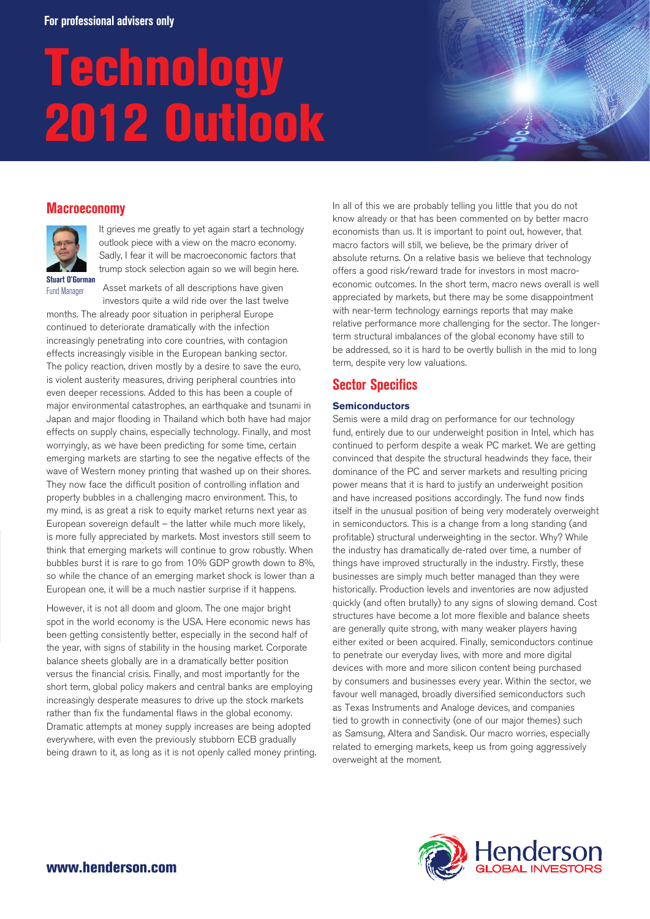# Technology 2012 Outlook

# **Macroeconomy**



It grieves me greatly to yet again start a technology outlook piece with a view on the macro economy. Sadly, I fear it will be macroeconomic factors that trump stock selection again so we will begin here.

**Stuart O'Gorman** Fund Manager

Asset markets of all descriptions have given investors quite a wild ride over the last twelve

months. The already poor situation in peripheral Europe continued to deteriorate dramatically with the infection increasingly penetrating into core countries, with contagion effects increasingly visible in the European banking sector. The policy reaction, driven mostly by a desire to save the euro, is violent austerity measures, driving peripheral countries into even deeper recessions. Added to this has been a couple of major environmental catastrophes, an earthquake and tsunami in Japan and major flooding in Thailand which both have had major effects on supply chains, especially technology. Finally, and most worryingly, as we have been predicting for some time, certain emerging markets are starting to see the negative effects of the wave of Western money printing that washed up on their shores. They now face the difficult position of controlling inflation and property bubbles in a challenging macro environment. This, to my mind, is as great a risk to equity market returns next year as European sovereign default – the latter while much more likely, is more fully appreciated by markets. Most investors still seem to think that emerging markets will continue to grow robustly. When bubbles burst it is rare to go from 10% GDP growth down to 8%, so while the chance of an emerging market shock is lower than a European one, it will be a much nastier surprise if it happens.

However, it is not all doom and gloom. The one major bright spot in the world economy is the USA. Here economic news has been getting consistently better, especially in the second half of the year, with signs of stability in the housing market. Corporate balance sheets globally are in a dramatically better position versus the financial crisis. Finally, and most importantly for the short term, global policy makers and central banks are employing increasingly desperate measures to drive up the stock markets rather than fix the fundamental flaws in the global economy. Dramatic attempts at money supply increases are being adopted everywhere, with even the previously stubborn ECB gradually being drawn to it, as long as it is not openly called money printing. In all of this we are probably telling you little that you do not know already or that has been commented on by better macro economists than us. It is important to point out, however, that macro factors will still, we believe, be the primary driver of absolute returns. On a relative basis we believe that technology offers a good risk/reward trade for investors in most macroeconomic outcomes. In the short term, macro news overall is well appreciated by markets, but there may be some disappointment with near-term technology earnings reports that may make relative performance more challenging for the sector. The longerterm structural imbalances of the global economy have still to be addressed, so it is hard to be overtly bullish in the mid to long term, despite very low valuations.

# **Sector Specifics**

# **Semiconductors**

Semis were a mild drag on performance for our technology fund, entirely due to our underweight position in Intel, which has continued to perform despite a weak PC market. We are getting convinced that despite the structural headwinds they face, their dominance of the PC and server markets and resulting pricing power means that it is hard to justify an underweight position and have increased positions accordingly. The fund now finds itself in the unusual position of being very moderately overweight in semiconductors. This is a change from a long standing (and profitable) structural underweighting in the sector. Why? While the industry has dramatically de-rated over time, a number of things have improved structurally in the industry. Firstly, these businesses are simply much better managed than they were historically. Production levels and inventories are now adjusted quickly (and often brutally) to any signs of slowing demand. Cost structures have become a lot more flexible and balance sheets are generally quite strong, with many weaker players having either exited or been acquired. Finally, semiconductors continue to penetrate our everyday lives, with more and more digital devices with more and more silicon content being purchased by consumers and businesses every year. Within the sector, we favour well managed, broadly diversified semiconductors such as Texas Instruments and Analoge devices, and companies tied to growth in connectivity (one of our major themes) such as Samsung, Altera and Sandisk. Our macro worries, especially related to emerging markets, keep us from going aggressively overweight at the moment.

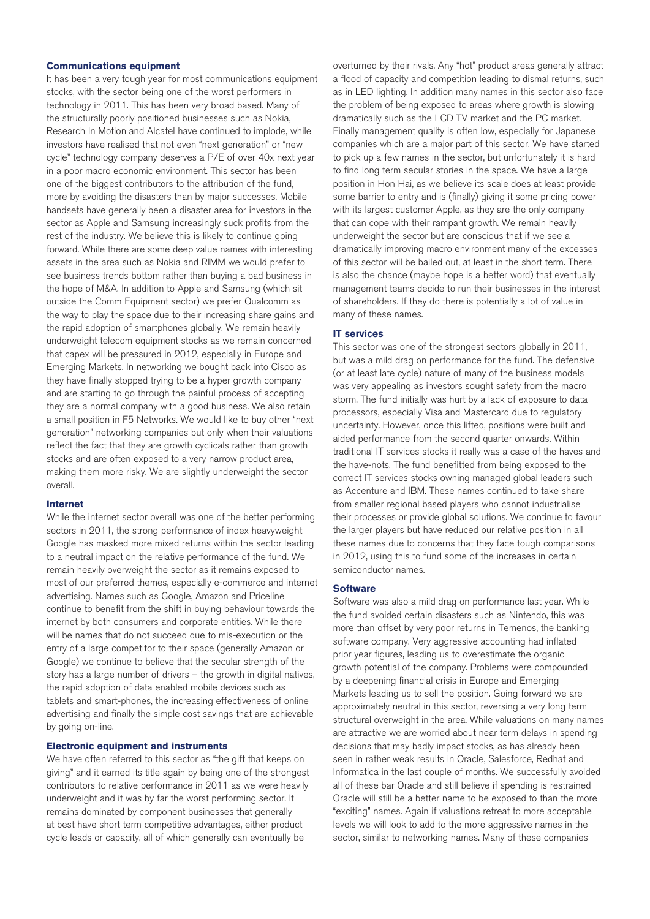## **Communications equipment**

It has been a very tough year for most communications equipment stocks, with the sector being one of the worst performers in technology in 2011. This has been very broad based. Many of the structurally poorly positioned businesses such as Nokia, Research In Motion and Alcatel have continued to implode, while investors have realised that not even "next generation" or "new cycle" technology company deserves a P/E of over 40x next year in a poor macro economic environment. This sector has been one of the biggest contributors to the attribution of the fund, more by avoiding the disasters than by major successes. Mobile handsets have generally been a disaster area for investors in the sector as Apple and Samsung increasingly suck profits from the rest of the industry. We believe this is likely to continue going forward. While there are some deep value names with interesting assets in the area such as Nokia and RIMM we would prefer to see business trends bottom rather than buying a bad business in the hope of M&A. In addition to Apple and Samsung (which sit outside the Comm Equipment sector) we prefer Qualcomm as the way to play the space due to their increasing share gains and the rapid adoption of smartphones globally. We remain heavily underweight telecom equipment stocks as we remain concerned that capex will be pressured in 2012, especially in Europe and Emerging Markets. In networking we bought back into Cisco as they have finally stopped trying to be a hyper growth company and are starting to go through the painful process of accepting they are a normal company with a good business. We also retain a small position in F5 Networks. We would like to buy other "next generation" networking companies but only when their valuations reflect the fact that they are growth cyclicals rather than growth stocks and are often exposed to a very narrow product area, making them more risky. We are slightly underweight the sector overall.

#### **Internet**

While the internet sector overall was one of the better performing sectors in 2011, the strong performance of index heavyweight Google has masked more mixed returns within the sector leading to a neutral impact on the relative performance of the fund. We remain heavily overweight the sector as it remains exposed to most of our preferred themes, especially e-commerce and internet advertising. Names such as Google, Amazon and Priceline continue to benefit from the shift in buying behaviour towards the internet by both consumers and corporate entities. While there will be names that do not succeed due to mis-execution or the entry of a large competitor to their space (generally Amazon or Google) we continue to believe that the secular strength of the story has a large number of drivers – the growth in digital natives, the rapid adoption of data enabled mobile devices such as tablets and smart-phones, the increasing effectiveness of online advertising and finally the simple cost savings that are achievable by going on-line.

## **Electronic equipment and instruments**

We have often referred to this sector as "the gift that keeps on giving" and it earned its title again by being one of the strongest contributors to relative performance in 2011 as we were heavily underweight and it was by far the worst performing sector. It remains dominated by component businesses that generally at best have short term competitive advantages, either product cycle leads or capacity, all of which generally can eventually be

overturned by their rivals. Any "hot" product areas generally attract a flood of capacity and competition leading to dismal returns, such as in LED lighting. In addition many names in this sector also face the problem of being exposed to areas where growth is slowing dramatically such as the LCD TV market and the PC market. Finally management quality is often low, especially for Japanese companies which are a major part of this sector. We have started to pick up a few names in the sector, but unfortunately it is hard to find long term secular stories in the space. We have a large position in Hon Hai, as we believe its scale does at least provide some barrier to entry and is (finally) giving it some pricing power with its largest customer Apple, as they are the only company that can cope with their rampant growth. We remain heavily underweight the sector but are conscious that if we see a dramatically improving macro environment many of the excesses of this sector will be bailed out, at least in the short term. There is also the chance (maybe hope is a better word) that eventually management teams decide to run their businesses in the interest of shareholders. If they do there is potentially a lot of value in many of these names.

#### **IT services**

This sector was one of the strongest sectors globally in 2011, but was a mild drag on performance for the fund. The defensive (or at least late cycle) nature of many of the business models was very appealing as investors sought safety from the macro storm. The fund initially was hurt by a lack of exposure to data processors, especially Visa and Mastercard due to regulatory uncertainty. However, once this lifted, positions were built and aided performance from the second quarter onwards. Within traditional IT services stocks it really was a case of the haves and the have-nots. The fund benefitted from being exposed to the correct IT services stocks owning managed global leaders such as Accenture and IBM. These names continued to take share from smaller regional based players who cannot industrialise their processes or provide global solutions. We continue to favour the larger players but have reduced our relative position in all these names due to concerns that they face tough comparisons in 2012, using this to fund some of the increases in certain semiconductor names.

#### **Software**

Software was also a mild drag on performance last year. While the fund avoided certain disasters such as Nintendo, this was more than offset by very poor returns in Temenos, the banking software company. Very aggressive accounting had inflated prior year figures, leading us to overestimate the organic growth potential of the company. Problems were compounded by a deepening financial crisis in Europe and Emerging Markets leading us to sell the position. Going forward we are approximately neutral in this sector, reversing a very long term structural overweight in the area. While valuations on many names are attractive we are worried about near term delays in spending decisions that may badly impact stocks, as has already been seen in rather weak results in Oracle, Salesforce, Redhat and Informatica in the last couple of months. We successfully avoided all of these bar Oracle and still believe if spending is restrained Oracle will still be a better name to be exposed to than the more "exciting" names. Again if valuations retreat to more acceptable levels we will look to add to the more aggressive names in the sector, similar to networking names. Many of these companies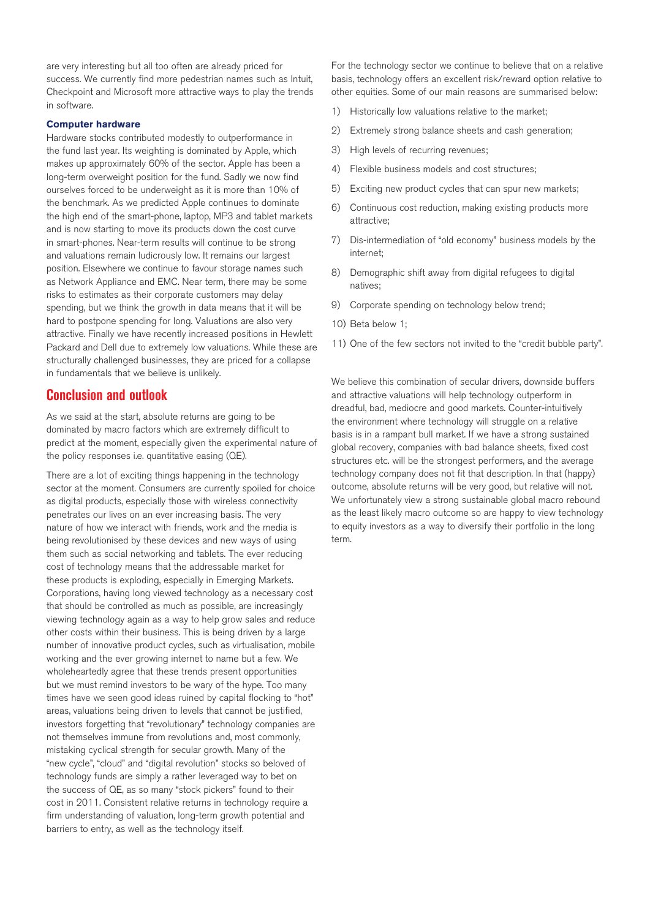are very interesting but all too often are already priced for success. We currently find more pedestrian names such as Intuit, Checkpoint and Microsoft more attractive ways to play the trends in software.

## **Computer hardware**

Hardware stocks contributed modestly to outperformance in the fund last year. Its weighting is dominated by Apple, which makes up approximately 60% of the sector. Apple has been a long-term overweight position for the fund. Sadly we now find ourselves forced to be underweight as it is more than 10% of the benchmark. As we predicted Apple continues to dominate the high end of the smart-phone, laptop, MP3 and tablet markets and is now starting to move its products down the cost curve in smart-phones. Near-term results will continue to be strong and valuations remain ludicrously low. It remains our largest position. Elsewhere we continue to favour storage names such as Network Appliance and EMC. Near term, there may be some risks to estimates as their corporate customers may delay spending, but we think the growth in data means that it will be hard to postpone spending for long. Valuations are also very attractive. Finally we have recently increased positions in Hewlett Packard and Dell due to extremely low valuations. While these are structurally challenged businesses, they are priced for a collapse in fundamentals that we believe is unlikely.

# **Conclusion and outlook**

As we said at the start, absolute returns are going to be dominated by macro factors which are extremely difficult to predict at the moment, especially given the experimental nature of the policy responses i.e. quantitative easing (QE).

There are a lot of exciting things happening in the technology sector at the moment. Consumers are currently spoiled for choice as digital products, especially those with wireless connectivity penetrates our lives on an ever increasing basis. The very nature of how we interact with friends, work and the media is being revolutionised by these devices and new ways of using them such as social networking and tablets. The ever reducing cost of technology means that the addressable market for these products is exploding, especially in Emerging Markets. Corporations, having long viewed technology as a necessary cost that should be controlled as much as possible, are increasingly viewing technology again as a way to help grow sales and reduce other costs within their business. This is being driven by a large number of innovative product cycles, such as virtualisation, mobile working and the ever growing internet to name but a few. We wholeheartedly agree that these trends present opportunities but we must remind investors to be wary of the hype. Too many times have we seen good ideas ruined by capital flocking to "hot" areas, valuations being driven to levels that cannot be justified, investors forgetting that "revolutionary" technology companies are not themselves immune from revolutions and, most commonly, mistaking cyclical strength for secular growth. Many of the "new cycle", "cloud" and "digital revolution" stocks so beloved of technology funds are simply a rather leveraged way to bet on the success of QE, as so many "stock pickers" found to their cost in 2011. Consistent relative returns in technology require a firm understanding of valuation, long-term growth potential and barriers to entry, as well as the technology itself.

For the technology sector we continue to believe that on a relative basis, technology offers an excellent risk/reward option relative to other equities. Some of our main reasons are summarised below:

- 1) Historically low valuations relative to the market;
- 2) Extremely strong balance sheets and cash generation;
- 3) High levels of recurring revenues;
- 4) Flexible business models and cost structures;
- 5) Exciting new product cycles that can spur new markets;
- Continuous cost reduction, making existing products more attractive;
- 7) Dis-intermediation of "old economy" business models by the internet;
- 8) Demographic shift away from digital refugees to digital natives;
- 9) Corporate spending on technology below trend;
- 10) Beta below 1;
- 11) One of the few sectors not invited to the "credit bubble party".

We believe this combination of secular drivers, downside buffers and attractive valuations will help technology outperform in dreadful, bad, mediocre and good markets. Counter-intuitively the environment where technology will struggle on a relative basis is in a rampant bull market. If we have a strong sustained global recovery, companies with bad balance sheets, fixed cost structures etc. will be the strongest performers, and the average technology company does not fit that description. In that (happy) outcome, absolute returns will be very good, but relative will not. We unfortunately view a strong sustainable global macro rebound as the least likely macro outcome so are happy to view technology to equity investors as a way to diversify their portfolio in the long term.